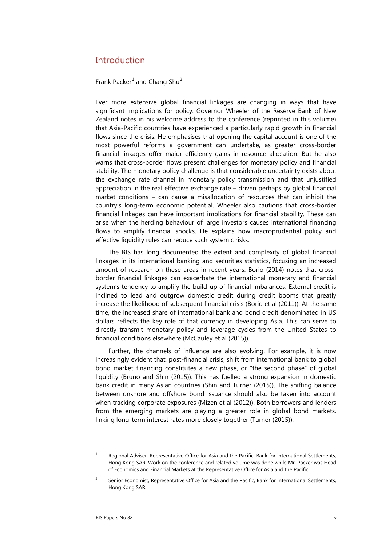# **Introduction**

Frank Packer<sup>[1](#page-0-0)</sup> and Chang Shu<sup>[2](#page-0-1)</sup>

Ever more extensive global financial linkages are changing in ways that have significant implications for policy. Governor Wheeler of the Reserve Bank of New Zealand notes in his welcome address to the conference (reprinted in this volume) that Asia-Pacific countries have experienced a particularly rapid growth in financial flows since the crisis. He emphasises that opening the capital account is one of the most powerful reforms a government can undertake, as greater cross-border financial linkages offer major efficiency gains in resource allocation. But he also warns that cross-border flows present challenges for monetary policy and financial stability. The monetary policy challenge is that considerable uncertainty exists about the exchange rate channel in monetary policy transmission and that unjustified appreciation in the real effective exchange rate – driven perhaps by global financial market conditions – can cause a misallocation of resources that can inhibit the country's long-term economic potential. Wheeler also cautions that cross-border financial linkages can have important implications for financial stability. These can arise when the herding behaviour of large investors causes international financing flows to amplify financial shocks. He explains how macroprudential policy and effective liquidity rules can reduce such systemic risks.

The BIS has long documented the extent and complexity of global financial linkages in its international banking and securities statistics, focusing an increased amount of research on these areas in recent years. Borio (2014) notes that crossborder financial linkages can exacerbate the international monetary and financial system's tendency to amplify the build-up of financial imbalances. External credit is inclined to lead and outgrow domestic credit during credit booms that greatly increase the likelihood of subsequent financial crisis (Borio et al (2011)). At the same time, the increased share of international bank and bond credit denominated in US dollars reflects the key role of that currency in developing Asia. This can serve to directly transmit monetary policy and leverage cycles from the United States to financial conditions elsewhere (McCauley et al (2015)).

Further, the channels of influence are also evolving. For example, it is now increasingly evident that, post-financial crisis, shift from international bank to global bond market financing constitutes a new phase, or "the second phase" of global liquidity (Bruno and Shin (2015)). This has fuelled a strong expansion in domestic bank credit in many Asian countries (Shin and Turner (2015)). The shifting balance between onshore and offshore bond issuance should also be taken into account when tracking corporate exposures (Mizen et al (2012)). Both borrowers and lenders from the emerging markets are playing a greater role in global bond markets, linking long-term interest rates more closely together (Turner (2015)).

<span id="page-0-0"></span>Regional Adviser, Representative Office for Asia and the Pacific, Bank for International Settlements, Hong Kong SAR. Work on the conference and related volume was done while Mr. Packer was Head of Economics and Financial Markets at the Representative Office for Asia and the Pacific.

<span id="page-0-1"></span><sup>2</sup> Senior Economist, Representative Office for Asia and the Pacific, Bank for International Settlements, Hong Kong SAR.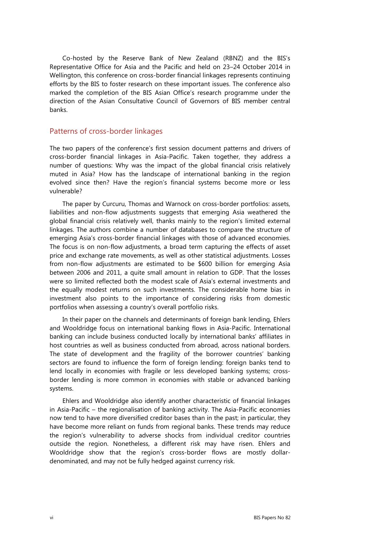Co-hosted by the Reserve Bank of New Zealand (RBNZ) and the BIS's Representative Office for Asia and the Pacific and held on 23–24 October 2014 in Wellington, this conference on cross-border financial linkages represents continuing efforts by the BIS to foster research on these important issues. The conference also marked the completion of the BIS Asian Office's research programme under the direction of the Asian Consultative Council of Governors of BIS member central banks.

## Patterns of cross-border linkages

The two papers of the conference's first session document patterns and drivers of cross-border financial linkages in Asia-Pacific. Taken together, they address a number of questions: Why was the impact of the global financial crisis relatively muted in Asia? How has the landscape of international banking in the region evolved since then? Have the region's financial systems become more or less vulnerable?

The paper by Curcuru, Thomas and Warnock on cross-border portfolios: assets, liabilities and non-flow adjustments suggests that emerging Asia weathered the global financial crisis relatively well, thanks mainly to the region's limited external linkages. The authors combine a number of databases to compare the structure of emerging Asia's cross-border financial linkages with those of advanced economies. The focus is on non-flow adjustments, a broad term capturing the effects of asset price and exchange rate movements, as well as other statistical adjustments. Losses from non-flow adjustments are estimated to be \$600 billion for emerging Asia between 2006 and 2011, a quite small amount in relation to GDP. That the losses were so limited reflected both the modest scale of Asia's external investments and the equally modest returns on such investments. The considerable home bias in investment also points to the importance of considering risks from domestic portfolios when assessing a country's overall portfolio risks.

In their paper on the channels and determinants of foreign bank lending, Ehlers and Wooldridge focus on international banking flows in Asia-Pacific. International banking can include business conducted locally by international banks' affiliates in host countries as well as business conducted from abroad, across national borders. The state of development and the fragility of the borrower countries' banking sectors are found to influence the form of foreign lending: foreign banks tend to lend locally in economies with fragile or less developed banking systems; crossborder lending is more common in economies with stable or advanced banking systems.

Ehlers and Wooldridge also identify another characteristic of financial linkages in Asia-Pacific – the regionalisation of banking activity. The Asia-Pacific economies now tend to have more diversified creditor bases than in the past; in particular, they have become more reliant on funds from regional banks. These trends may reduce the region's vulnerability to adverse shocks from individual creditor countries outside the region. Nonetheless, a different risk may have risen. Ehlers and Wooldridge show that the region's cross-border flows are mostly dollardenominated, and may not be fully hedged against currency risk.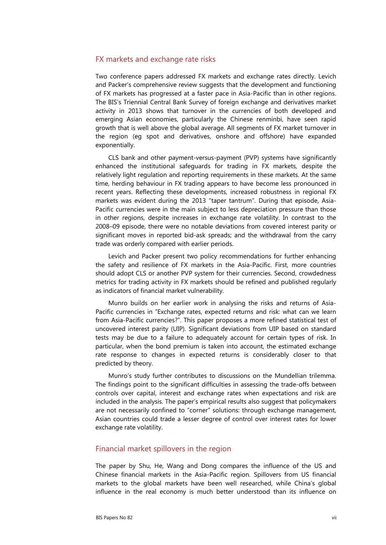### FX markets and exchange rate risks

Two conference papers addressed FX markets and exchange rates directly. Levich and Packer's comprehensive review suggests that the development and functioning of FX markets has progressed at a faster pace in Asia-Pacific than in other regions. The BIS's Triennial Central Bank Survey of foreign exchange and derivatives market activity in 2013 shows that turnover in the currencies of both developed and emerging Asian economies, particularly the Chinese renminbi, have seen rapid growth that is well above the global average. All segments of FX market turnover in the region (eg spot and derivatives, onshore and offshore) have expanded exponentially.

CLS bank and other payment-versus-payment (PVP) systems have significantly enhanced the institutional safeguards for trading in FX markets, despite the relatively light regulation and reporting requirements in these markets. At the same time, herding behaviour in FX trading appears to have become less pronounced in recent years. Reflecting these developments, increased robustness in regional FX markets was evident during the 2013 "taper tantrum". During that episode, Asia-Pacific currencies were in the main subject to less depreciation pressure than those in other regions, despite increases in exchange rate volatility. In contrast to the 2008–09 episode, there were no notable deviations from covered interest parity or significant moves in reported bid-ask spreads; and the withdrawal from the carry trade was orderly compared with earlier periods.

Levich and Packer present two policy recommendations for further enhancing the safety and resilience of FX markets in the Asia-Pacific. First, more countries should adopt CLS or another PVP system for their currencies. Second, crowdedness metrics for trading activity in FX markets should be refined and published regularly as indicators of financial market vulnerability.

Munro builds on her earlier work in analysing the risks and returns of Asia-Pacific currencies in "Exchange rates, expected returns and risk: what can we learn from Asia-Pacific currencies?". This paper proposes a more refined statistical test of uncovered interest parity (UIP). Significant deviations from UIP based on standard tests may be due to a failure to adequately account for certain types of risk. In particular, when the bond premium is taken into account, the estimated exchange rate response to changes in expected returns is considerably closer to that predicted by theory.

Munro's study further contributes to discussions on the Mundellian trilemma. The findings point to the significant difficulties in assessing the trade-offs between controls over capital, interest and exchange rates when expectations and risk are included in the analysis. The paper's empirical results also suggest that policymakers are not necessarily confined to "corner" solutions: through exchange management, Asian countries could trade a lesser degree of control over interest rates for lower exchange rate volatility.

#### Financial market spillovers in the region

The paper by Shu, He, Wang and Dong compares the influence of the US and Chinese financial markets in the Asia-Pacific region. Spillovers from US financial markets to the global markets have been well researched, while China's global influence in the real economy is much better understood than its influence on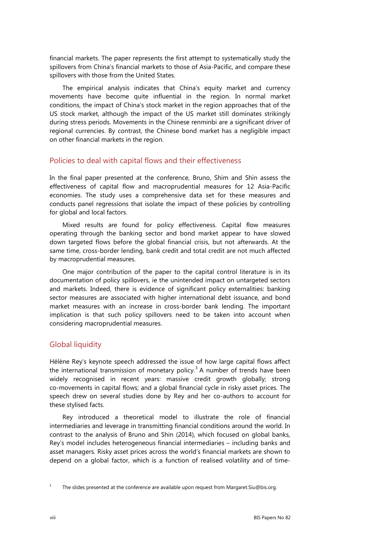financial markets. The paper represents the first attempt to systematically study the spillovers from China's financial markets to those of Asia-Pacific, and compare these spillovers with those from the United States.

The empirical analysis indicates that China's equity market and currency movements have become quite influential in the region. In normal market conditions, the impact of China's stock market in the region approaches that of the US stock market, although the impact of the US market still dominates strikingly during stress periods. Movements in the Chinese renminbi are a significant driver of regional currencies. By contrast, the Chinese bond market has a negligible impact on other financial markets in the region.

## Policies to deal with capital flows and their effectiveness

In the final paper presented at the conference, Bruno, Shim and Shin assess the effectiveness of capital flow and macroprudential measures for 12 Asia-Pacific economies. The study uses a comprehensive data set for these measures and conducts panel regressions that isolate the impact of these policies by controlling for global and local factors.

Mixed results are found for policy effectiveness. Capital flow measures operating through the banking sector and bond market appear to have slowed down targeted flows before the global financial crisis, but not afterwards. At the same time, cross-border lending, bank credit and total credit are not much affected by macroprudential measures.

One major contribution of the paper to the capital control literature is in its documentation of policy spillovers, ie the unintended impact on untargeted sectors and markets. Indeed, there is evidence of significant policy externalities: banking sector measures are associated with higher international debt issuance, and bond market measures with an increase in cross-border bank lending. The important implication is that such policy spillovers need to be taken into account when considering macroprudential measures.

## Global liquidity

Hélène Rey's keynote speech addressed the issue of how large capital flows affect the international transmission of monetary policy.<sup>[3](#page-3-0)</sup> A number of trends have been widely recognised in recent years: massive credit growth globally; strong co-movements in capital flows; and a global financial cycle in risky asset prices. The speech drew on several studies done by Rey and her co-authors to account for these stylised facts.

Rey introduced a theoretical model to illustrate the role of financial intermediaries and leverage in transmitting financial conditions around the world. In contrast to the analysis of Bruno and Shin (2014), which focused on global banks, Rey's model includes heterogeneous financial intermediaries – including banks and asset managers. Risky asset prices across the world's financial markets are shown to depend on a global factor, which is a function of realised volatility and of time-

<span id="page-3-0"></span>The slides presented at the conference are available upon request from Margaret.Siu@bis.org.